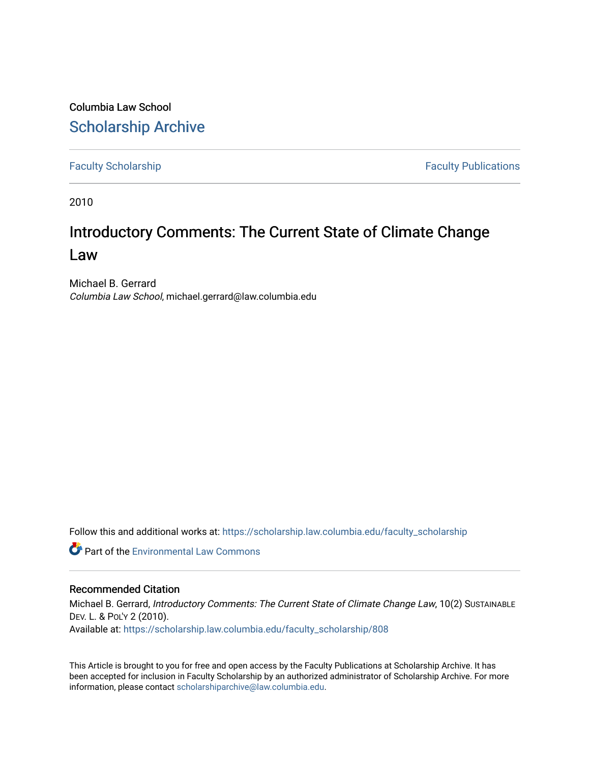Columbia Law School [Scholarship Archive](https://scholarship.law.columbia.edu/) 

[Faculty Scholarship](https://scholarship.law.columbia.edu/faculty_scholarship) **Faculty Scholarship Faculty Publications** 

2010

## Introductory Comments: The Current State of Climate Change Law

Michael B. Gerrard Columbia Law School, michael.gerrard@law.columbia.edu

Follow this and additional works at: [https://scholarship.law.columbia.edu/faculty\\_scholarship](https://scholarship.law.columbia.edu/faculty_scholarship?utm_source=scholarship.law.columbia.edu%2Ffaculty_scholarship%2F808&utm_medium=PDF&utm_campaign=PDFCoverPages)

**C** Part of the [Environmental Law Commons](http://network.bepress.com/hgg/discipline/599?utm_source=scholarship.law.columbia.edu%2Ffaculty_scholarship%2F808&utm_medium=PDF&utm_campaign=PDFCoverPages)

## Recommended Citation

Michael B. Gerrard, Introductory Comments: The Current State of Climate Change Law, 10(2) SUSTAINABLE DEV. L. & POL'Y 2 (2010). Available at: [https://scholarship.law.columbia.edu/faculty\\_scholarship/808](https://scholarship.law.columbia.edu/faculty_scholarship/808?utm_source=scholarship.law.columbia.edu%2Ffaculty_scholarship%2F808&utm_medium=PDF&utm_campaign=PDFCoverPages) 

This Article is brought to you for free and open access by the Faculty Publications at Scholarship Archive. It has been accepted for inclusion in Faculty Scholarship by an authorized administrator of Scholarship Archive. For more information, please contact [scholarshiparchive@law.columbia.edu.](mailto:scholarshiparchive@law.columbia.edu)